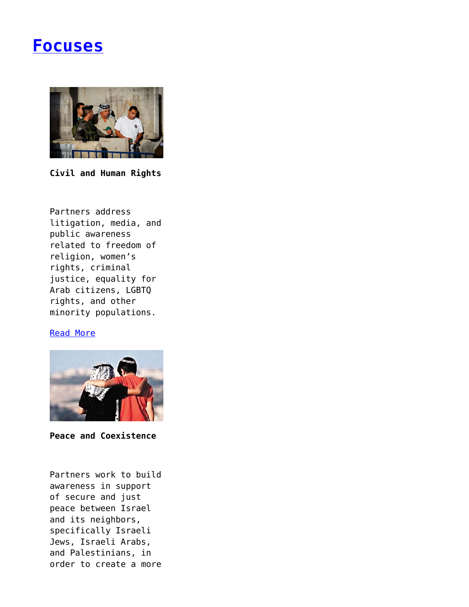# **[Focuses](https://www.progressiveisrael.org/focus/)**



**Civil and Human Rights**

Partners address litigation, media, and public awareness related to freedom of religion, women's rights, criminal justice, equality for Arab citizens, LGBTQ rights, and other minority populations.

#### [Read More](https://www.progressiveisrael.org/focus/civil-and-human-rights/)



**Peace and Coexistence**

Partners work to build awareness in support of secure and just peace between Israel and its neighbors, specifically Israeli Jews, Israeli Arabs, and Palestinians, in order to create a more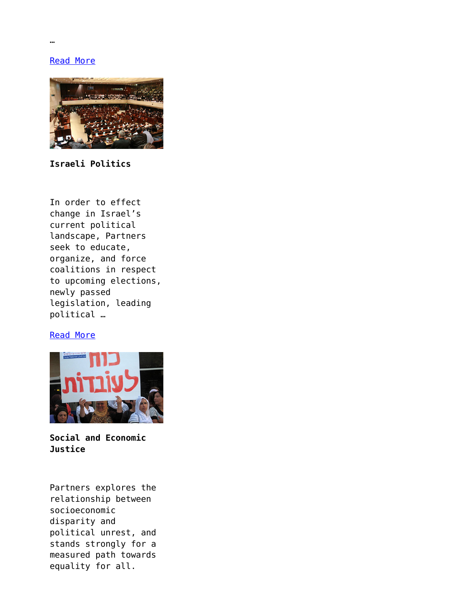[Read More](https://www.progressiveisrael.org/focus/peace-and-coexistence/)



**Israeli Politics**

In order to effect change in Israel's current political landscape, Partners seek to educate, organize, and force coalitions in respect to upcoming elections, newly passed legislation, leading political …

## [Read More](https://www.progressiveisrael.org/focus/israeli-politics/)



**Social and Economic Justice**

Partners explores the relationship between socioeconomic disparity and political unrest, and stands strongly for a measured path towards equality for all.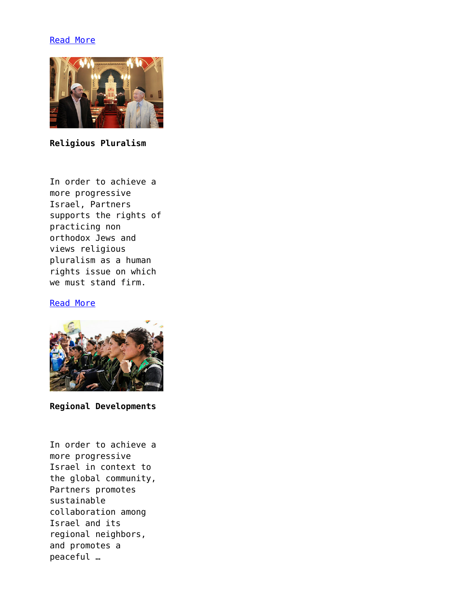## [Read More](https://www.progressiveisrael.org/focus/social-and-economic-justice/)



**Religious Pluralism**

In order to achieve a more progressive Israel, Partners supports the rights of practicing non orthodox Jews and views religious pluralism as a human rights issue on which we must stand firm.

## [Read More](https://www.progressiveisrael.org/focus/religious-pluralism/)



**Regional Developments**

In order to achieve a more progressive Israel in context to the global community, Partners promotes sustainable collaboration among Israel and its regional neighbors, and promotes a peaceful …